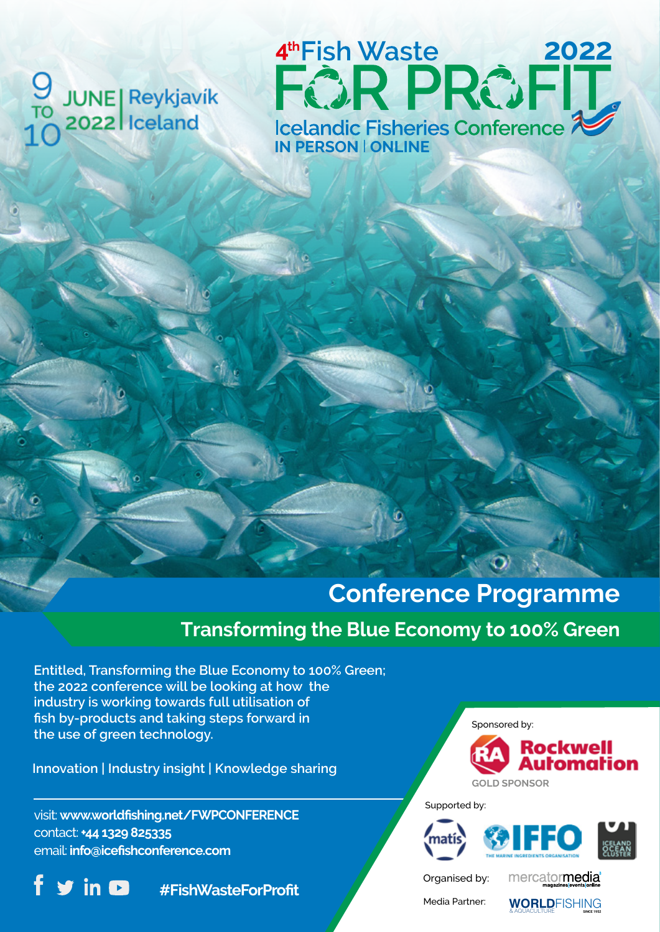

**2022 IN PERSON** l **ONLINE**

## **Conference Programme**

## **Transforming the Blue Economy to 100% Green**

**Entitled, Transforming the Blue Economy to 100% Green; the 2022 conference will be looking at how the industry is working towards full utilisation of fish by-products and taking steps forward in the use of green technology.**

**Innovation | Industry insight | Knowledge sharing**

visit: **www.worldfishing.net/FWPCONFERENCE** contact: **+44 1329 825335** email: **info@icefishconference.com**



**#FishWasteForProfit**

Sponsored by:



Supported by:



Organised by:

mercatormedia

Media Partner: **WORLD**FISHING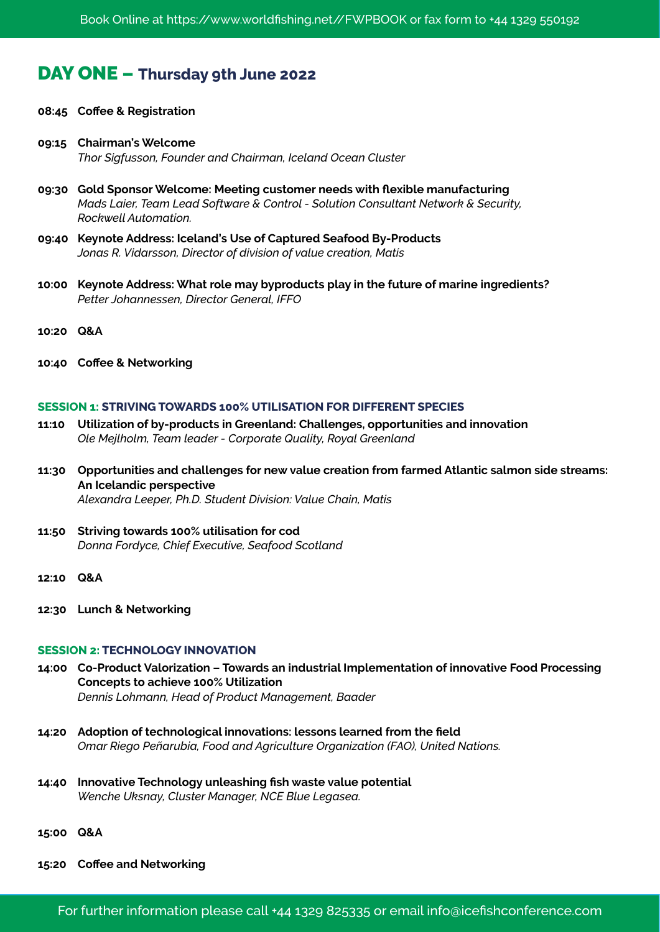### DAY ONE **– Thursday 9th June 2022**

- **08:45 Coffee & Registration**
- **09:15 Chairman's Welcome**  *Thor Sigfusson, Founder and Chairman, Iceland Ocean Cluster*
- **09:30 Gold Sponsor Welcome: Meeting customer needs with flexible manufacturing**  *Mads Laier, Team Lead Software & Control - Solution Consultant Network & Security, Rockwell Automation.*
- **09:40 Keynote Address: Iceland's Use of Captured Seafood By-Products**  *Jonas R. Vidarsson, Director of division of value creation, Matís*
- **10:00 Keynote Address: What role may byproducts play in the future of marine ingredients?** *Petter Johannessen, Director General, IFFO*
- **10:20 Q&A**
- **10:40 Coffee & Networking**

#### **SESSION 1: STRIVING TOWARDS 100% UTILISATION FOR DIFFERENT SPECIES**

- **11:10 Utilization of by-products in Greenland: Challenges, opportunities and innovation** *Ole Mejlholm, Team leader - Corporate Quality, Royal Greenland*
- **11:30 Opportunities and challenges for new value creation from farmed Atlantic salmon side streams: An Icelandic perspective**  *Alexandra Leeper, Ph.D. Student Division: Value Chain, Matis*
- **11:50 Striving towards 100% utilisation for cod** *Donna Fordyce, Chief Executive, Seafood Scotland*
- **12:10 Q&A**
- **12:30 Lunch & Networking**

#### **SESSION 2: TECHNOLOGY INNOVATION**

- **14:00 Co-Product Valorization Towards an industrial Implementation of innovative Food Processing Concepts to achieve 100% Utilization**  *Dennis Lohmann, Head of Product Management, Baader*
- **14:20 Adoption of technological innovations: lessons learned from the field** *Omar Riego Peñarubia, Food and Agriculture Organization (FAO), United Nations.*
- **14:40 Innovative Technology unleashing fish waste value potential** *Wenche Uksnay, Cluster Manager, NCE Blue Legasea.*
- **15:00 Q&A**
- **15:20 Coffee and Networking**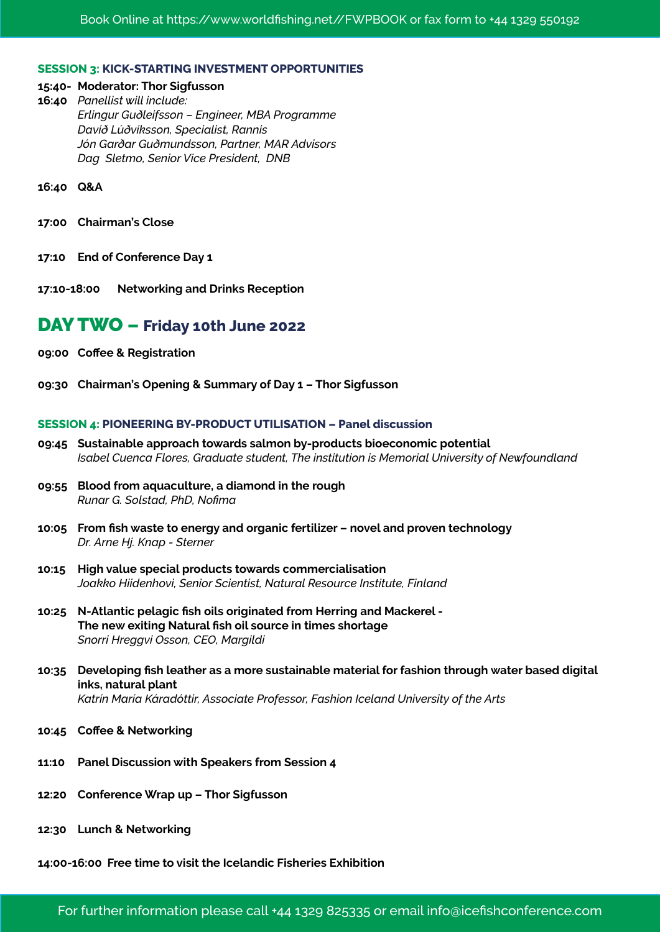#### **SESSION 3: KICK-STARTING INVESTMENT OPPORTUNITIES**

#### **15:40- Moderator: Thor Sigfusson**

**16:40** *Panellist will include: Erlingur Guðleifsson – Engineer, MBA Programme Davíð Lúðvíksson, Specialist, Rannis Jón Garðar Guðmundsson, Partner, MAR Advisors Dag Sletmo, Senior Vice President, DNB* 

**16:40 Q&A**

- **17:00 Chairman's Close**
- **17:10 End of Conference Day 1**
- **17:10-18:00 Networking and Drinks Reception**

#### DAY TWO **– Friday 10th June 2022**

- **09:00 Coffee & Registration**
- **09:30 Chairman's Opening & Summary of Day 1 Thor Sigfusson**

#### **SESSION 4: PIONEERING BY-PRODUCT UTILISATION – Panel discussion**

- **09:45 Sustainable approach towards salmon by-products bioeconomic potential**  *Isabel Cuenca Flores, Graduate student, The institution is Memorial University of Newfoundland*
- **09:55 Blood from aquaculture, a diamond in the rough**   *Runar G. Solstad, PhD, Nofima*
- **10:05 From fish waste to energy and organic fertilizer novel and proven technology**  *Dr. Arne Hj. Knap - Sterner*
- **10:15 High value special products towards commercialisation** *Joakko Hiidenhovi, Senior Scientist, Natural Resource Institute, Finland*
- **10:25 N-Atlantic pelagic fish oils originated from Herring and Mackerel The new exiting Natural fish oil source in times shortage** *Snorri Hreggvi Osson, CEO, Margildi*
- **10:35 Developing fish leather as a more sustainable material for fashion through water based digital inks, natural plant**  *Katrín María Káradóttir, Associate Professor, Fashion Iceland University of the Arts*
- **10:45 Coffee & Networking**
- **11:10 Panel Discussion with Speakers from Session 4**
- **12:20 Conference Wrap up Thor Sigfusson**
- **12:30 Lunch & Networking**

#### **14:00-16:00 Free time to visit the Icelandic Fisheries Exhibition**

For further information please call +44 1329 825335 or email info@icefishconference.com